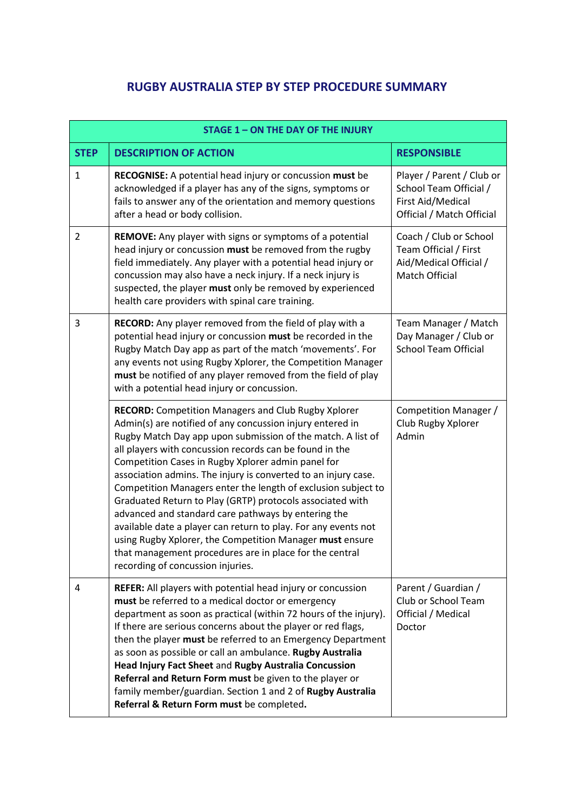## **RUGBY AUSTRALIA STEP BY STEP PROCEDURE SUMMARY**

| <b>STAGE 1 - ON THE DAY OF THE INJURY</b> |                                                                                                                                                                                                                                                                                                                                                                                                                                                                                                                                                                                                                                                                                                                                                                                              |                                                                                                       |  |
|-------------------------------------------|----------------------------------------------------------------------------------------------------------------------------------------------------------------------------------------------------------------------------------------------------------------------------------------------------------------------------------------------------------------------------------------------------------------------------------------------------------------------------------------------------------------------------------------------------------------------------------------------------------------------------------------------------------------------------------------------------------------------------------------------------------------------------------------------|-------------------------------------------------------------------------------------------------------|--|
| <b>STEP</b>                               | <b>DESCRIPTION OF ACTION</b>                                                                                                                                                                                                                                                                                                                                                                                                                                                                                                                                                                                                                                                                                                                                                                 | <b>RESPONSIBLE</b>                                                                                    |  |
| $\mathbf{1}$                              | RECOGNISE: A potential head injury or concussion must be<br>acknowledged if a player has any of the signs, symptoms or<br>fails to answer any of the orientation and memory questions<br>after a head or body collision.                                                                                                                                                                                                                                                                                                                                                                                                                                                                                                                                                                     | Player / Parent / Club or<br>School Team Official /<br>First Aid/Medical<br>Official / Match Official |  |
| $\overline{2}$                            | REMOVE: Any player with signs or symptoms of a potential<br>head injury or concussion must be removed from the rugby<br>field immediately. Any player with a potential head injury or<br>concussion may also have a neck injury. If a neck injury is<br>suspected, the player must only be removed by experienced<br>health care providers with spinal care training.                                                                                                                                                                                                                                                                                                                                                                                                                        | Coach / Club or School<br>Team Official / First<br>Aid/Medical Official /<br>Match Official           |  |
| 3                                         | RECORD: Any player removed from the field of play with a<br>potential head injury or concussion must be recorded in the<br>Rugby Match Day app as part of the match 'movements'. For<br>any events not using Rugby Xplorer, the Competition Manager<br>must be notified of any player removed from the field of play<br>with a potential head injury or concussion.                                                                                                                                                                                                                                                                                                                                                                                                                          | Team Manager / Match<br>Day Manager / Club or<br><b>School Team Official</b>                          |  |
|                                           | <b>RECORD:</b> Competition Managers and Club Rugby Xplorer<br>Admin(s) are notified of any concussion injury entered in<br>Rugby Match Day app upon submission of the match. A list of<br>all players with concussion records can be found in the<br>Competition Cases in Rugby Xplorer admin panel for<br>association admins. The injury is converted to an injury case.<br>Competition Managers enter the length of exclusion subject to<br>Graduated Return to Play (GRTP) protocols associated with<br>advanced and standard care pathways by entering the<br>available date a player can return to play. For any events not<br>using Rugby Xplorer, the Competition Manager must ensure<br>that management procedures are in place for the central<br>recording of concussion injuries. | Competition Manager /<br>Club Rugby Xplorer<br>Admin                                                  |  |
| 4                                         | <b>REFER:</b> All players with potential head injury or concussion<br>must be referred to a medical doctor or emergency<br>department as soon as practical (within 72 hours of the injury).<br>If there are serious concerns about the player or red flags,<br>then the player must be referred to an Emergency Department<br>as soon as possible or call an ambulance. Rugby Australia<br>Head Injury Fact Sheet and Rugby Australia Concussion<br>Referral and Return Form must be given to the player or<br>family member/guardian. Section 1 and 2 of Rugby Australia<br>Referral & Return Form must be completed.                                                                                                                                                                       | Parent / Guardian /<br>Club or School Team<br>Official / Medical<br>Doctor                            |  |